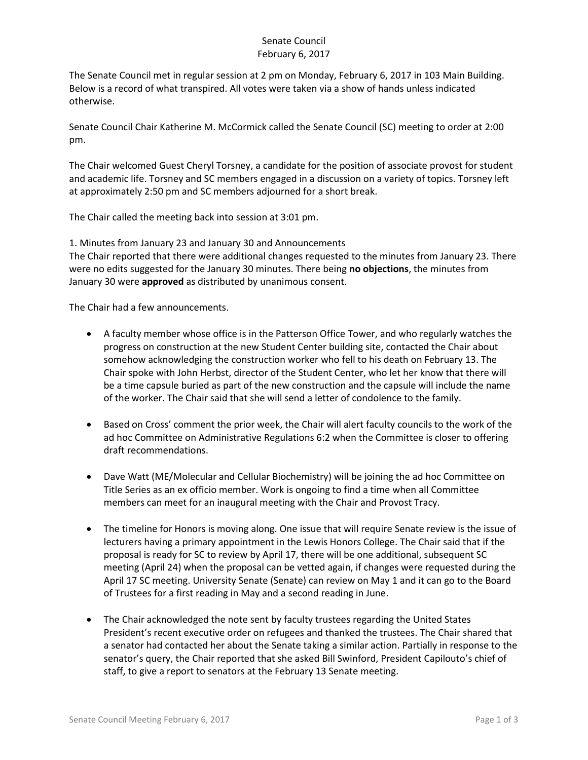## Senate Council February 6, 2017

The Senate Council met in regular session at 2 pm on Monday, February 6, 2017 in 103 Main Building. Below is a record of what transpired. All votes were taken via a show of hands unless indicated otherwise.

Senate Council Chair Katherine M. McCormick called the Senate Council (SC) meeting to order at 2:00 pm.

The Chair welcomed Guest Cheryl Torsney, a candidate for the position of associate provost for student and academic life. Torsney and SC members engaged in a discussion on a variety of topics. Torsney left at approximately 2:50 pm and SC members adjourned for a short break.

The Chair called the meeting back into session at 3:01 pm.

### 1. Minutes from January 23 and January 30 and Announcements

The Chair reported that there were additional changes requested to the minutes from January 23. There were no edits suggested for the January 30 minutes. There being **no objections**, the minutes from January 30 were **approved** as distributed by unanimous consent.

The Chair had a few announcements.

- A faculty member whose office is in the Patterson Office Tower, and who regularly watches the progress on construction at the new Student Center building site, contacted the Chair about somehow acknowledging the construction worker who fell to his death on February 13. The Chair spoke with John Herbst, director of the Student Center, who let her know that there will be a time capsule buried as part of the new construction and the capsule will include the name of the worker. The Chair said that she will send a letter of condolence to the family.
- Based on Cross' comment the prior week, the Chair will alert faculty councils to the work of the ad hoc Committee on Administrative Regulations 6:2 when the Committee is closer to offering draft recommendations.
- Dave Watt (ME/Molecular and Cellular Biochemistry) will be joining the ad hoc Committee on Title Series as an ex officio member. Work is ongoing to find a time when all Committee members can meet for an inaugural meeting with the Chair and Provost Tracy.
- The timeline for Honors is moving along. One issue that will require Senate review is the issue of lecturers having a primary appointment in the Lewis Honors College. The Chair said that if the proposal is ready for SC to review by April 17, there will be one additional, subsequent SC meeting (April 24) when the proposal can be vetted again, if changes were requested during the April 17 SC meeting. University Senate (Senate) can review on May 1 and it can go to the Board of Trustees for a first reading in May and a second reading in June.
- The Chair acknowledged the note sent by faculty trustees regarding the United States President's recent executive order on refugees and thanked the trustees. The Chair shared that a senator had contacted her about the Senate taking a similar action. Partially in response to the senator's query, the Chair reported that she asked Bill Swinford, President Capilouto's chief of staff, to give a report to senators at the February 13 Senate meeting.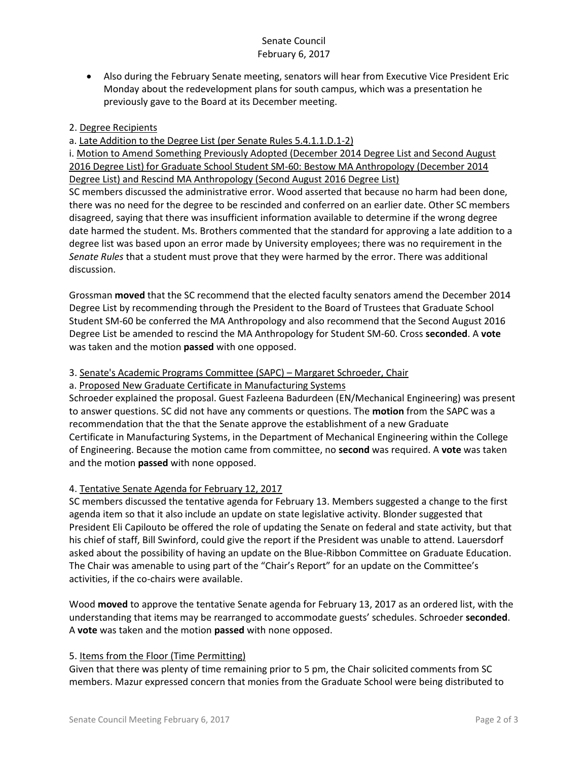## Senate Council February 6, 2017

 Also during the February Senate meeting, senators will hear from Executive Vice President Eric Monday about the redevelopment plans for south campus, which was a presentation he previously gave to the Board at its December meeting.

### 2. Degree Recipients

a. Late Addition to the Degree List (per Senate Rules 5.4.1.1.D.1-2)

i. Motion to Amend Something Previously Adopted (December 2014 Degree List and Second August 2016 Degree List) for Graduate School Student SM-60: Bestow MA Anthropology (December 2014 Degree List) and Rescind MA Anthropology (Second August 2016 Degree List)

SC members discussed the administrative error. Wood asserted that because no harm had been done, there was no need for the degree to be rescinded and conferred on an earlier date. Other SC members disagreed, saying that there was insufficient information available to determine if the wrong degree date harmed the student. Ms. Brothers commented that the standard for approving a late addition to a degree list was based upon an error made by University employees; there was no requirement in the *Senate Rules* that a student must prove that they were harmed by the error. There was additional discussion.

Grossman **moved** that the SC recommend that the elected faculty senators amend the December 2014 Degree List by recommending through the President to the Board of Trustees that Graduate School Student SM-60 be conferred the MA Anthropology and also recommend that the Second August 2016 Degree List be amended to rescind the MA Anthropology for Student SM-60. Cross **seconded**. A **vote** was taken and the motion **passed** with one opposed.

3. Senate's Academic Programs Committee (SAPC) – Margaret Schroeder, Chair

a. Proposed New Graduate Certificate in Manufacturing Systems

Schroeder explained the proposal. Guest Fazleena Badurdeen (EN/Mechanical Engineering) was present to answer questions. SC did not have any comments or questions. The **motion** from the SAPC was a recommendation that the that the Senate approve the establishment of a new Graduate Certificate in Manufacturing Systems, in the Department of Mechanical Engineering within the College of Engineering. Because the motion came from committee, no **second** was required. A **vote** was taken and the motion **passed** with none opposed.

# 4. Tentative Senate Agenda for February 12, 2017

SC members discussed the tentative agenda for February 13. Members suggested a change to the first agenda item so that it also include an update on state legislative activity. Blonder suggested that President Eli Capilouto be offered the role of updating the Senate on federal and state activity, but that his chief of staff, Bill Swinford, could give the report if the President was unable to attend. Lauersdorf asked about the possibility of having an update on the Blue-Ribbon Committee on Graduate Education. The Chair was amenable to using part of the "Chair's Report" for an update on the Committee's activities, if the co-chairs were available.

Wood **moved** to approve the tentative Senate agenda for February 13, 2017 as an ordered list, with the understanding that items may be rearranged to accommodate guests' schedules. Schroeder **seconded**. A **vote** was taken and the motion **passed** with none opposed.

#### 5. Items from the Floor (Time Permitting)

Given that there was plenty of time remaining prior to 5 pm, the Chair solicited comments from SC members. Mazur expressed concern that monies from the Graduate School were being distributed to